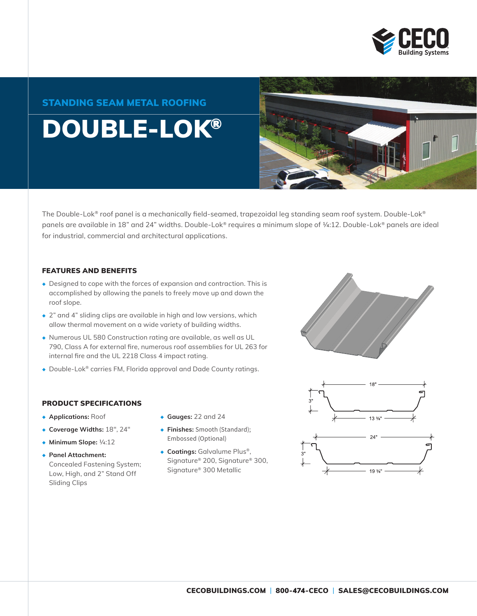

### STANDING SEAM METAL ROOFING

## DOUBLE-LOK®



The Double-Lok® roof panel is a mechanically field-seamed, trapezoidal leg standing seam roof system. Double-Lok® panels are available in 18" and 24" widths. Double-Lok® requires a minimum slope of ¼:12. Double-Lok® panels are ideal for industrial, commercial and architectural applications.

#### FEATURES AND BENEFITS

- ◆ Designed to cope with the forces of expansion and contraction. This is accomplished by allowing the panels to freely move up and down the roof slope.
- ◆ 2" and 4" sliding clips are available in high and low versions, which allow thermal movement on a wide variety of building widths.
- ◆ Numerous UL 580 Construction rating are available, as well as UL 790, Class A for external fire, numerous roof assemblies for UL 263 for internal fire and the UL 2218 Class 4 impact rating.
- ◆ Double-Lok® carries FM, Florida approval and Dade County ratings.

#### PRODUCT SPECIFICATIONS

- ◆ **Applications:** Roof
- ◆ **Coverage Widths:** 18", 24"
- ◆ **Minimum Slope:** ¼:12
- ◆ **Panel Attachment:** Concealed Fastening System; Low, High, and 2" Stand Off Sliding Clips
- ◆ **Gauges:** 22 and 24
- ◆ **Finishes:** Smooth (Standard); Embossed (Optional)
- ◆ **Coatings:** Galvalume Plus®, Signature® 200, Signature® 300, Signature® 300 Metallic